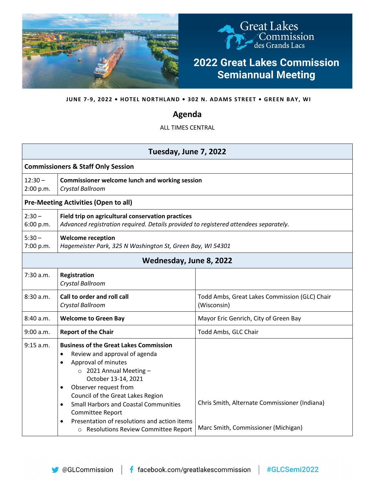

**JUNE 7-9, 2022 • HOTEL NORTHLAND • 302 N. ADAMS STREET • GREEN BAY, WI**

## **Agenda**

ALL TIMES CENTRAL

| Tuesday, June 7, 2022                         |                                                                                                                                                                                                                                                                                                                                                                                                                    |                                                                                      |  |  |
|-----------------------------------------------|--------------------------------------------------------------------------------------------------------------------------------------------------------------------------------------------------------------------------------------------------------------------------------------------------------------------------------------------------------------------------------------------------------------------|--------------------------------------------------------------------------------------|--|--|
| <b>Commissioners &amp; Staff Only Session</b> |                                                                                                                                                                                                                                                                                                                                                                                                                    |                                                                                      |  |  |
| $12:30 -$<br>2:00 p.m.                        | <b>Commissioner welcome lunch and working session</b><br>Crystal Ballroom                                                                                                                                                                                                                                                                                                                                          |                                                                                      |  |  |
| <b>Pre-Meeting Activities (Open to all)</b>   |                                                                                                                                                                                                                                                                                                                                                                                                                    |                                                                                      |  |  |
| $2:30 -$<br>6:00 p.m.                         | Field trip on agricultural conservation practices<br>Advanced registration required. Details provided to registered attendees separately.                                                                                                                                                                                                                                                                          |                                                                                      |  |  |
| $5:30 -$<br>7:00 p.m.                         | <b>Welcome reception</b><br>Hagemeister Park, 325 N Washington St, Green Bay, WI 54301                                                                                                                                                                                                                                                                                                                             |                                                                                      |  |  |
| Wednesday, June 8, 2022                       |                                                                                                                                                                                                                                                                                                                                                                                                                    |                                                                                      |  |  |
| 7:30 a.m.                                     | Registration<br>Crystal Ballroom                                                                                                                                                                                                                                                                                                                                                                                   |                                                                                      |  |  |
| 8:30a.m.                                      | Call to order and roll call<br>Crystal Ballroom                                                                                                                                                                                                                                                                                                                                                                    | Todd Ambs, Great Lakes Commission (GLC) Chair<br>(Wisconsin)                         |  |  |
| 8:40a.m.                                      | <b>Welcome to Green Bay</b>                                                                                                                                                                                                                                                                                                                                                                                        | Mayor Eric Genrich, City of Green Bay                                                |  |  |
| 9:00 a.m.                                     | <b>Report of the Chair</b>                                                                                                                                                                                                                                                                                                                                                                                         | Todd Ambs, GLC Chair                                                                 |  |  |
| 9:15 a.m.                                     | <b>Business of the Great Lakes Commission</b><br>Review and approval of agenda<br>$\bullet$<br>Approval of minutes<br>$\circ$ 2021 Annual Meeting -<br>October 13-14, 2021<br>Observer request from<br>Council of the Great Lakes Region<br><b>Small Harbors and Coastal Communities</b><br>$\bullet$<br>Committee Report<br>Presentation of resolutions and action items<br>o Resolutions Review Committee Report | Chris Smith, Alternate Commissioner (Indiana)<br>Marc Smith, Commissioner (Michigan) |  |  |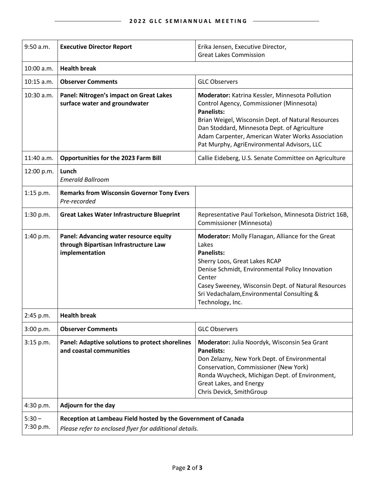$\overline{\phantom{0}}$ 

| $9:50$ a.m.           | <b>Executive Director Report</b>                                                                                        | Erika Jensen, Executive Director,<br><b>Great Lakes Commission</b>                                                                                                                                                                                                                                                        |  |
|-----------------------|-------------------------------------------------------------------------------------------------------------------------|---------------------------------------------------------------------------------------------------------------------------------------------------------------------------------------------------------------------------------------------------------------------------------------------------------------------------|--|
| 10:00 a.m.            | <b>Health break</b>                                                                                                     |                                                                                                                                                                                                                                                                                                                           |  |
| $10:15$ a.m.          | <b>Observer Comments</b>                                                                                                | <b>GLC Observers</b>                                                                                                                                                                                                                                                                                                      |  |
| $10:30$ a.m.          | Panel: Nitrogen's impact on Great Lakes<br>surface water and groundwater                                                | Moderator: Katrina Kessler, Minnesota Pollution<br>Control Agency, Commissioner (Minnesota)<br><b>Panelists:</b><br>Brian Weigel, Wisconsin Dept. of Natural Resources<br>Dan Stoddard, Minnesota Dept. of Agriculture<br>Adam Carpenter, American Water Works Association<br>Pat Murphy, AgriEnvironmental Advisors, LLC |  |
| 11:40 a.m.            | <b>Opportunities for the 2023 Farm Bill</b>                                                                             | Callie Eideberg, U.S. Senate Committee on Agriculture                                                                                                                                                                                                                                                                     |  |
| 12:00 p.m.            | Lunch<br><b>Emerald Ballroom</b>                                                                                        |                                                                                                                                                                                                                                                                                                                           |  |
| $1:15$ p.m.           | <b>Remarks from Wisconsin Governor Tony Evers</b><br>Pre-recorded                                                       |                                                                                                                                                                                                                                                                                                                           |  |
| 1:30 p.m.             | <b>Great Lakes Water Infrastructure Blueprint</b>                                                                       | Representative Paul Torkelson, Minnesota District 16B,<br>Commissioner (Minnesota)                                                                                                                                                                                                                                        |  |
| 1:40 p.m.             | Panel: Advancing water resource equity<br>through Bipartisan Infrastructure Law<br>implementation                       | Moderator: Molly Flanagan, Alliance for the Great<br>Lakes<br><b>Panelists:</b><br>Sherry Loos, Great Lakes RCAP<br>Denise Schmidt, Environmental Policy Innovation<br>Center<br>Casey Sweeney, Wisconsin Dept. of Natural Resources<br>Sri Vedachalam, Environmental Consulting &<br>Technology, Inc.                    |  |
| 2:45 p.m.             | <b>Health break</b>                                                                                                     |                                                                                                                                                                                                                                                                                                                           |  |
| 3:00 p.m.             | <b>Observer Comments</b>                                                                                                | <b>GLC Observers</b>                                                                                                                                                                                                                                                                                                      |  |
| 3:15 p.m.             | <b>Panel: Adaptive solutions to protect shorelines</b><br>and coastal communities                                       | Moderator: Julia Noordyk, Wisconsin Sea Grant<br><b>Panelists:</b><br>Don Zelazny, New York Dept. of Environmental<br>Conservation, Commissioner (New York)<br>Ronda Wuycheck, Michigan Dept. of Environment,<br>Great Lakes, and Energy<br>Chris Devick, SmithGroup                                                      |  |
| 4:30 p.m.             | Adjourn for the day                                                                                                     |                                                                                                                                                                                                                                                                                                                           |  |
| $5:30 -$<br>7:30 p.m. | Reception at Lambeau Field hosted by the Government of Canada<br>Please refer to enclosed flyer for additional details. |                                                                                                                                                                                                                                                                                                                           |  |